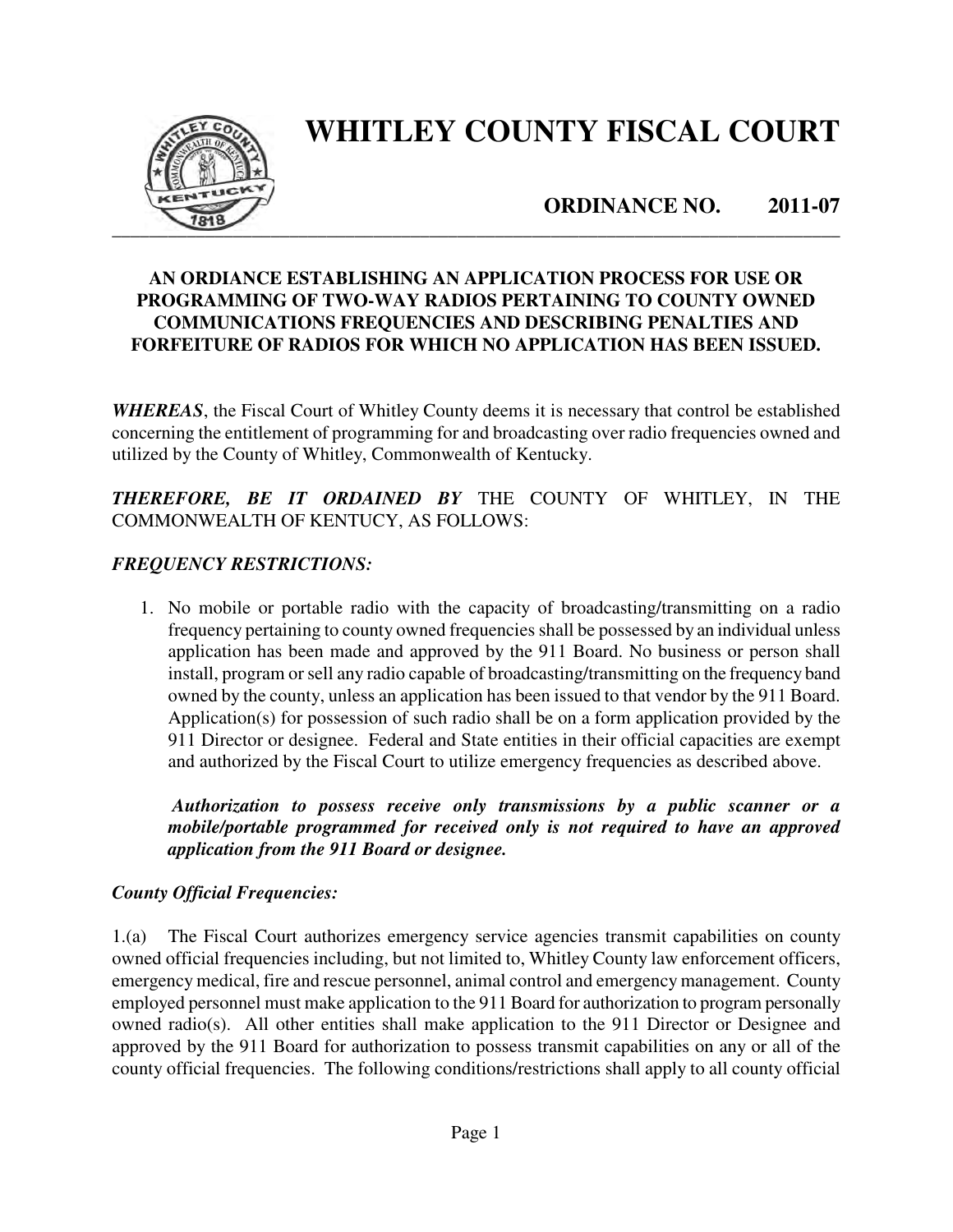

# **WHITLEY COUNTY FISCAL COURT**

**ORDINANCE NO. 2011-07** 

## **AN ORDIANCE ESTABLISHING AN APPLICATION PROCESS FOR USE OR PROGRAMMING OF TWO-WAY RADIOS PERTAINING TO COUNTY OWNED COMMUNICATIONS FREQUENCIES AND DESCRIBING PENALTIES AND FORFEITURE OF RADIOS FOR WHICH NO APPLICATION HAS BEEN ISSUED.**

*WHEREAS*, the Fiscal Court of Whitley County deems it is necessary that control be established concerning the entitlement of programming for and broadcasting over radio frequencies owned and utilized by the County of Whitley, Commonwealth of Kentucky.

## *THEREFORE, BE IT ORDAINED BY* THE COUNTY OF WHITLEY, IN THE COMMONWEALTH OF KENTUCY, AS FOLLOWS:

## *FREQUENCY RESTRICTIONS:*

1. No mobile or portable radio with the capacity of broadcasting/transmitting on a radio frequency pertaining to county owned frequencies shall be possessed by an individual unless application has been made and approved by the 911 Board. No business or person shall install, program or sell any radio capable of broadcasting/transmitting on the frequency band owned by the county, unless an application has been issued to that vendor by the 911 Board. Application(s) for possession of such radio shall be on a form application provided by the 911 Director or designee. Federal and State entities in their official capacities are exempt and authorized by the Fiscal Court to utilize emergency frequencies as described above.

*Authorization to possess receive only transmissions by a public scanner or a mobile/portable programmed for received only is not required to have an approved application from the 911 Board or designee.* 

### *County Official Frequencies:*

1.(a) The Fiscal Court authorizes emergency service agencies transmit capabilities on county owned official frequencies including, but not limited to, Whitley County law enforcement officers, emergency medical, fire and rescue personnel, animal control and emergency management. County employed personnel must make application to the 911 Board for authorization to program personally owned radio(s). All other entities shall make application to the 911 Director or Designee and approved by the 911 Board for authorization to possess transmit capabilities on any or all of the county official frequencies. The following conditions/restrictions shall apply to all county official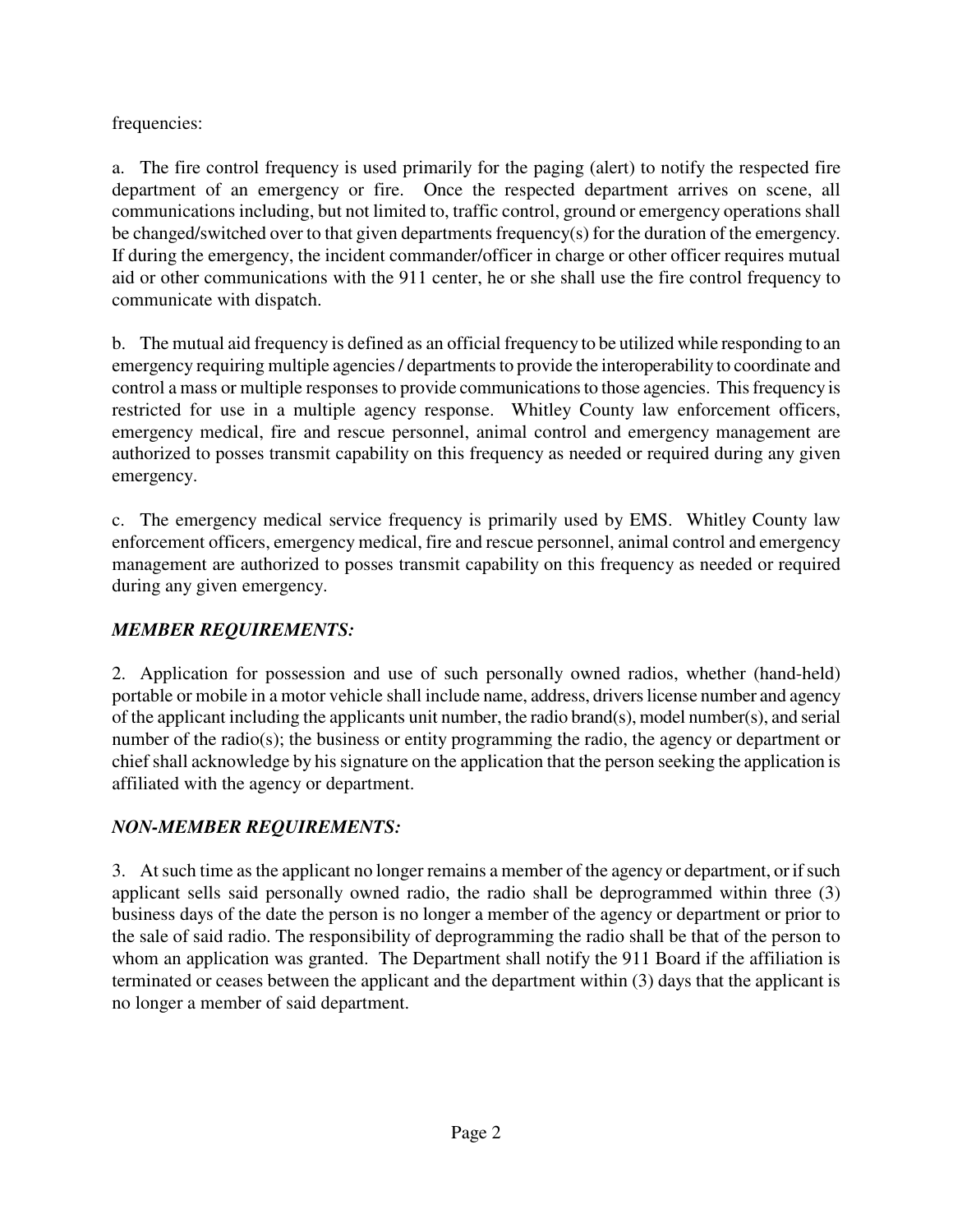frequencies:

a. The fire control frequency is used primarily for the paging (alert) to notify the respected fire department of an emergency or fire. Once the respected department arrives on scene, all communications including, but not limited to, traffic control, ground or emergency operations shall be changed/switched over to that given departments frequency(s) for the duration of the emergency. If during the emergency, the incident commander/officer in charge or other officer requires mutual aid or other communications with the 911 center, he or she shall use the fire control frequency to communicate with dispatch.

b. The mutual aid frequency is defined as an official frequency to be utilized while responding to an emergency requiring multiple agencies / departments to provide the interoperability to coordinate and control a mass or multiple responses to provide communications to those agencies. This frequency is restricted for use in a multiple agency response. Whitley County law enforcement officers, emergency medical, fire and rescue personnel, animal control and emergency management are authorized to posses transmit capability on this frequency as needed or required during any given emergency.

c. The emergency medical service frequency is primarily used by EMS. Whitley County law enforcement officers, emergency medical, fire and rescue personnel, animal control and emergency management are authorized to posses transmit capability on this frequency as needed or required during any given emergency.

# *MEMBER REQUIREMENTS:*

2. Application for possession and use of such personally owned radios, whether (hand-held) portable or mobile in a motor vehicle shall include name, address, drivers license number and agency of the applicant including the applicants unit number, the radio brand(s), model number(s), and serial number of the radio(s); the business or entity programming the radio, the agency or department or chief shall acknowledge by his signature on the application that the person seeking the application is affiliated with the agency or department.

# *NON-MEMBER REQUIREMENTS:*

3. At such time as the applicant no longer remains a member of the agency or department, or if such applicant sells said personally owned radio, the radio shall be deprogrammed within three (3) business days of the date the person is no longer a member of the agency or department or prior to the sale of said radio. The responsibility of deprogramming the radio shall be that of the person to whom an application was granted. The Department shall notify the 911 Board if the affiliation is terminated or ceases between the applicant and the department within (3) days that the applicant is no longer a member of said department.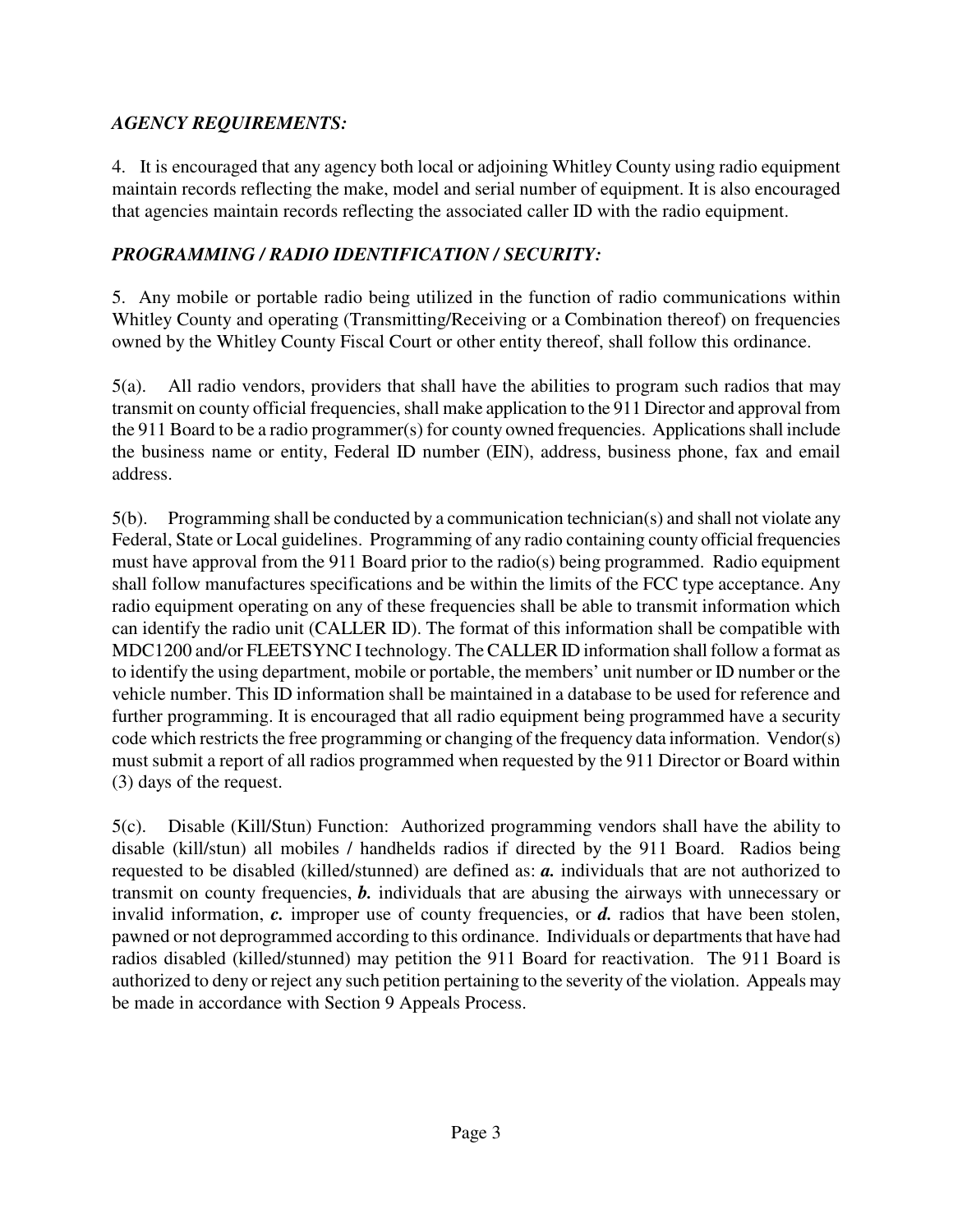# *AGENCY REQUIREMENTS:*

4. It is encouraged that any agency both local or adjoining Whitley County using radio equipment maintain records reflecting the make, model and serial number of equipment. It is also encouraged that agencies maintain records reflecting the associated caller ID with the radio equipment.

# *PROGRAMMING / RADIO IDENTIFICATION / SECURITY:*

5.Any mobile or portable radio being utilized in the function of radio communications within Whitley County and operating (Transmitting/Receiving or a Combination thereof) on frequencies owned by the Whitley County Fiscal Court or other entity thereof, shall follow this ordinance.

5(a). All radio vendors, providers that shall have the abilities to program such radios that may transmit on county official frequencies, shall make application to the 911 Director and approval from the 911 Board to be a radio programmer(s) for county owned frequencies. Applications shall include the business name or entity, Federal ID number (EIN), address, business phone, fax and email address.

5(b). Programming shall be conducted by a communication technician(s) and shall not violate any Federal, State or Local guidelines. Programming of any radio containing county official frequencies must have approval from the 911 Board prior to the radio(s) being programmed. Radio equipment shall follow manufactures specifications and be within the limits of the FCC type acceptance. Any radio equipment operating on any of these frequencies shall be able to transmit information which can identify the radio unit (CALLER ID). The format of this information shall be compatible with MDC1200 and/or FLEETSYNC I technology. The CALLER ID information shall follow a format as to identify the using department, mobile or portable, the members' unit number or ID number or the vehicle number. This ID information shall be maintained in a database to be used for reference and further programming. It is encouraged that all radio equipment being programmed have a security code which restricts the free programming or changing of the frequency data information. Vendor(s) must submit a report of all radios programmed when requested by the 911 Director or Board within (3) days of the request.

5(c). Disable (Kill/Stun) Function: Authorized programming vendors shall have the ability to disable (kill/stun) all mobiles / handhelds radios if directed by the 911 Board. Radios being requested to be disabled (killed/stunned) are defined as: *a.* individuals that are not authorized to transmit on county frequencies, *b.* individuals that are abusing the airways with unnecessary or invalid information, *c.* improper use of county frequencies, or *d.* radios that have been stolen, pawned or not deprogrammed according to this ordinance. Individuals or departments that have had radios disabled (killed/stunned) may petition the 911 Board for reactivation. The 911 Board is authorized to deny or reject any such petition pertaining to the severity of the violation. Appeals may be made in accordance with Section 9 Appeals Process.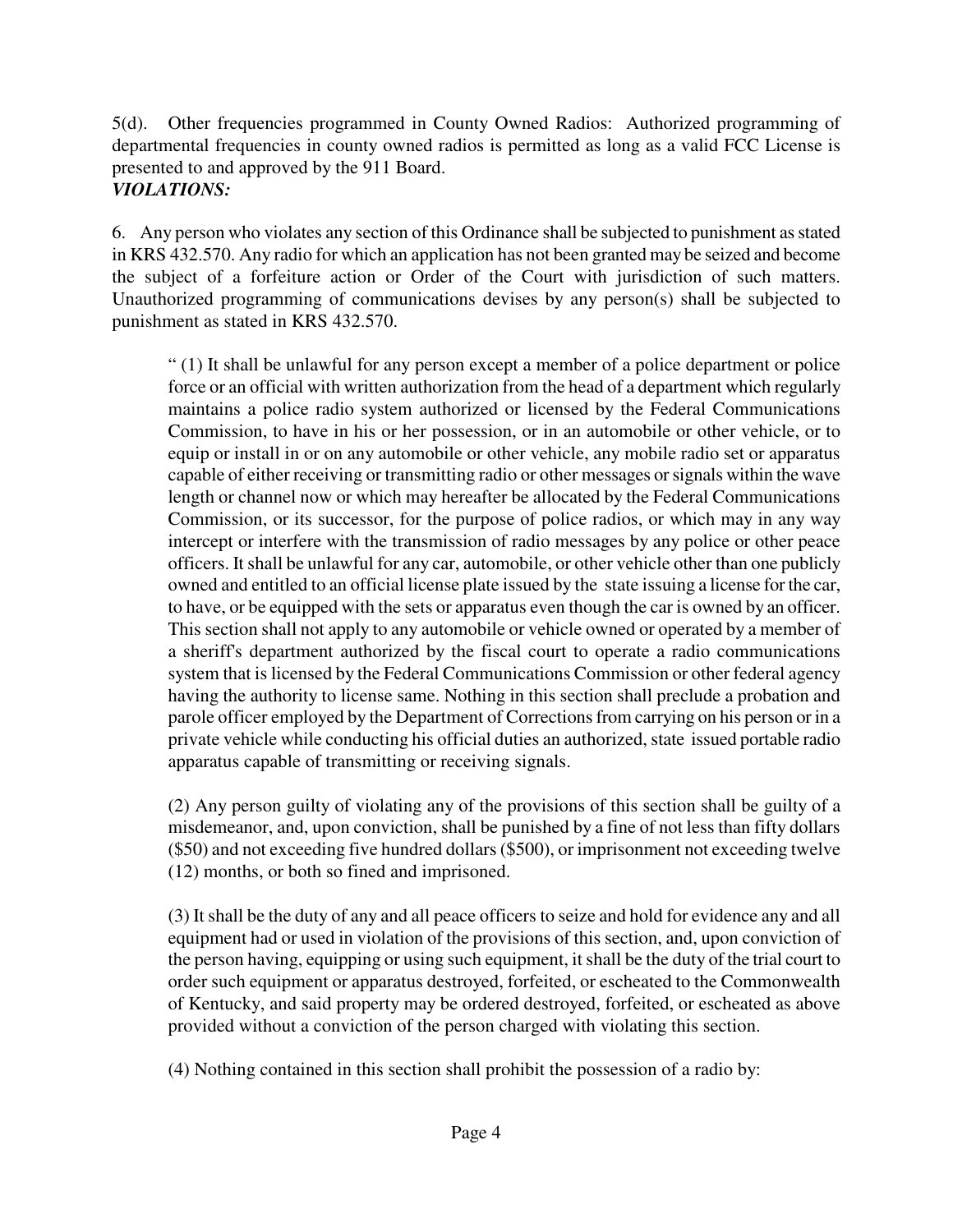5(d). Other frequencies programmed in County Owned Radios: Authorized programming of departmental frequencies in county owned radios is permitted as long as a valid FCC License is presented to and approved by the 911 Board. *VIOLATIONS:* 

6. Any person who violates any section of this Ordinance shall be subjected to punishment as stated in KRS 432.570. Any radio for which an application has not been granted may be seized and become the subject of a forfeiture action or Order of the Court with jurisdiction of such matters. Unauthorized programming of communications devises by any person(s) shall be subjected to punishment as stated in KRS 432.570.

" (1) It shall be unlawful for any person except a member of a police department or police force or an official with written authorization from the head of a department which regularly maintains a police radio system authorized or licensed by the Federal Communications Commission, to have in his or her possession, or in an automobile or other vehicle, or to equip or install in or on any automobile or other vehicle, any mobile radio set or apparatus capable of either receiving or transmitting radio or other messages or signals within the wave length or channel now or which may hereafter be allocated by the Federal Communications Commission, or its successor, for the purpose of police radios, or which may in any way intercept or interfere with the transmission of radio messages by any police or other peace officers. It shall be unlawful for any car, automobile, or other vehicle other than one publicly owned and entitled to an official license plate issued by the state issuing a license for the car, to have, or be equipped with the sets or apparatus even though the car is owned by an officer. This section shall not apply to any automobile or vehicle owned or operated by a member of a sheriff's department authorized by the fiscal court to operate a radio communications system that is licensed by the Federal Communications Commission or other federal agency having the authority to license same. Nothing in this section shall preclude a probation and parole officer employed by the Department of Corrections from carrying on his person or in a private vehicle while conducting his official duties an authorized, state issued portable radio apparatus capable of transmitting or receiving signals.

(2) Any person guilty of violating any of the provisions of this section shall be guilty of a misdemeanor, and, upon conviction, shall be punished by a fine of not less than fifty dollars (\$50) and not exceeding five hundred dollars (\$500), or imprisonment not exceeding twelve (12) months, or both so fined and imprisoned.

(3) It shall be the duty of any and all peace officers to seize and hold for evidence any and all equipment had or used in violation of the provisions of this section, and, upon conviction of the person having, equipping or using such equipment, it shall be the duty of the trial court to order such equipment or apparatus destroyed, forfeited, or escheated to the Commonwealth of Kentucky, and said property may be ordered destroyed, forfeited, or escheated as above provided without a conviction of the person charged with violating this section.

(4) Nothing contained in this section shall prohibit the possession of a radio by: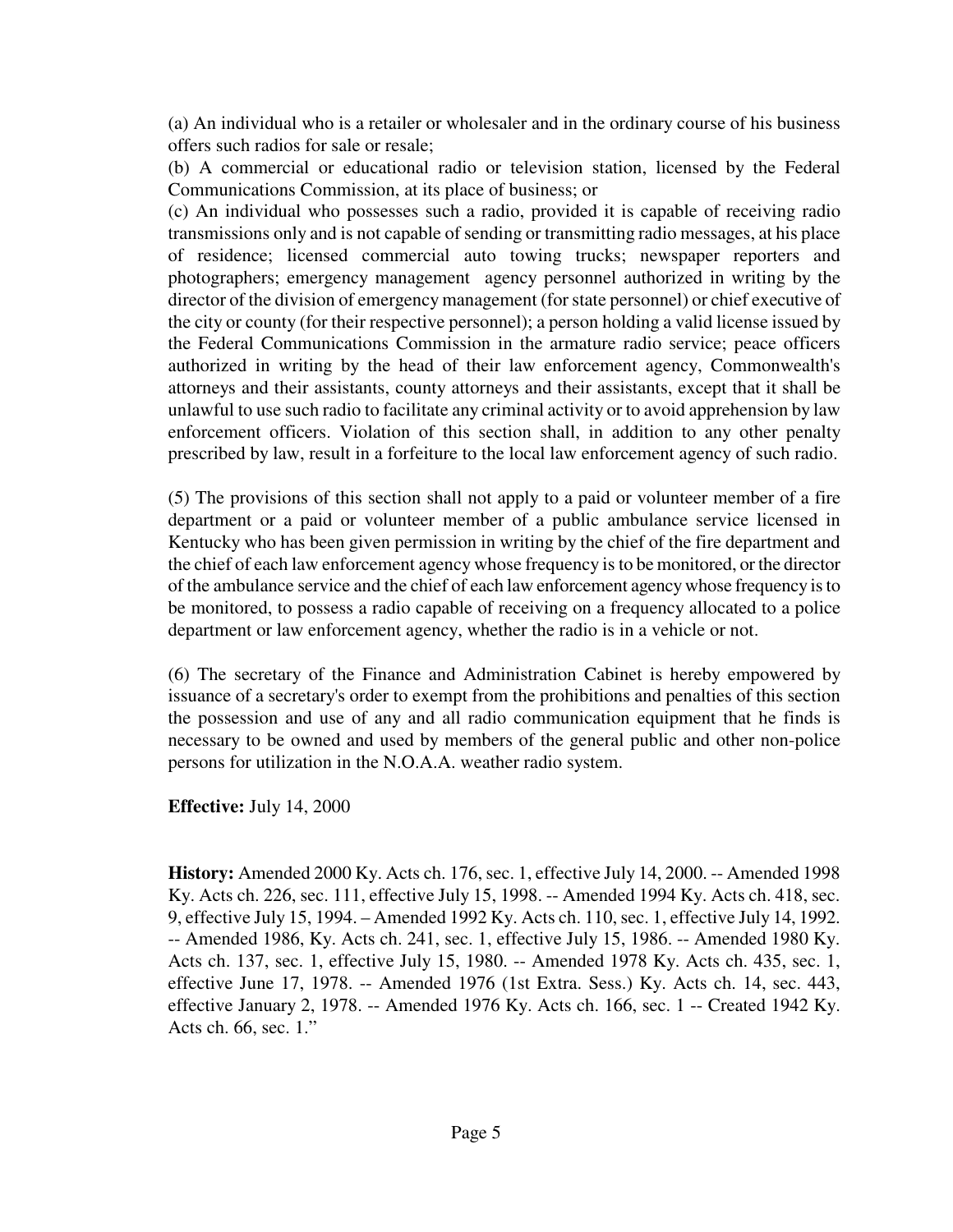(a) An individual who is a retailer or wholesaler and in the ordinary course of his business offers such radios for sale or resale;

(b) A commercial or educational radio or television station, licensed by the Federal Communications Commission, at its place of business; or

(c) An individual who possesses such a radio, provided it is capable of receiving radio transmissions only and is not capable of sending or transmitting radio messages, at his place of residence; licensed commercial auto towing trucks; newspaper reporters and photographers; emergency management agency personnel authorized in writing by the director of the division of emergency management (for state personnel) or chief executive of the city or county (for their respective personnel); a person holding a valid license issued by the Federal Communications Commission in the armature radio service; peace officers authorized in writing by the head of their law enforcement agency, Commonwealth's attorneys and their assistants, county attorneys and their assistants, except that it shall be unlawful to use such radio to facilitate any criminal activity or to avoid apprehension by law enforcement officers. Violation of this section shall, in addition to any other penalty prescribed by law, result in a forfeiture to the local law enforcement agency of such radio.

(5) The provisions of this section shall not apply to a paid or volunteer member of a fire department or a paid or volunteer member of a public ambulance service licensed in Kentucky who has been given permission in writing by the chief of the fire department and the chief of each law enforcement agency whose frequency is to be monitored, or the director of the ambulance service and the chief of each law enforcement agency whose frequency is to be monitored, to possess a radio capable of receiving on a frequency allocated to a police department or law enforcement agency, whether the radio is in a vehicle or not.

(6) The secretary of the Finance and Administration Cabinet is hereby empowered by issuance of a secretary's order to exempt from the prohibitions and penalties of this section the possession and use of any and all radio communication equipment that he finds is necessary to be owned and used by members of the general public and other non-police persons for utilization in the N.O.A.A. weather radio system.

**Effective:** July 14, 2000

**History:** Amended 2000 Ky. Acts ch. 176, sec. 1, effective July 14, 2000. -- Amended 1998 Ky. Acts ch. 226, sec. 111, effective July 15, 1998. -- Amended 1994 Ky. Acts ch. 418, sec. 9, effective July 15, 1994. – Amended 1992 Ky. Acts ch. 110, sec. 1, effective July 14, 1992. -- Amended 1986, Ky. Acts ch. 241, sec. 1, effective July 15, 1986. -- Amended 1980 Ky. Acts ch. 137, sec. 1, effective July 15, 1980. -- Amended 1978 Ky. Acts ch. 435, sec. 1, effective June 17, 1978. -- Amended 1976 (1st Extra. Sess.) Ky. Acts ch. 14, sec. 443, effective January 2, 1978. -- Amended 1976 Ky. Acts ch. 166, sec. 1 -- Created 1942 Ky. Acts ch. 66, sec. 1."